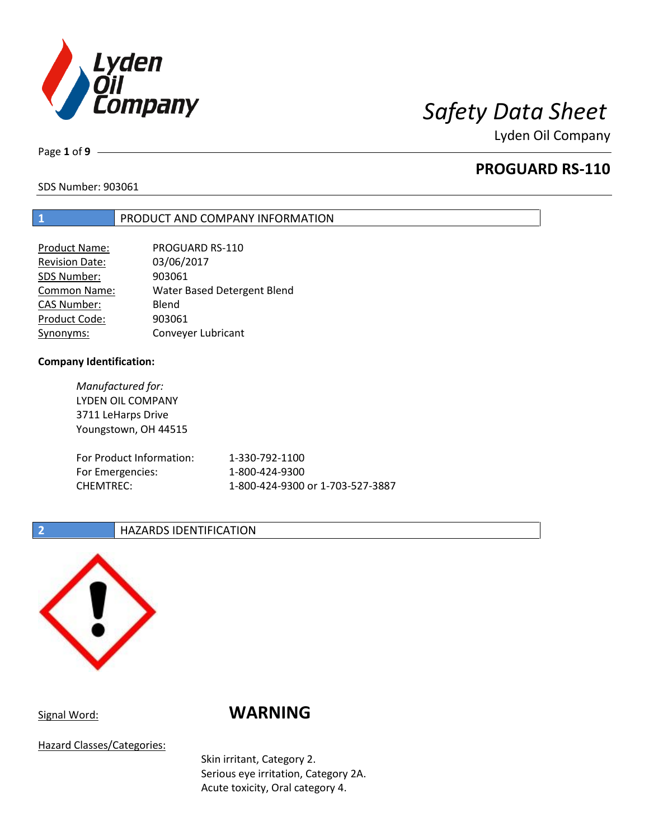

Page **1** of **9**

## **PROGUARD RS-110**

SDS Number: 903061

### **1** PRODUCT AND COMPANY INFORMATION

| <b>Product Name:</b>  | PROGUARD RS-110             |
|-----------------------|-----------------------------|
| <b>Revision Date:</b> | 03/06/2017                  |
| SDS Number:           | 903061                      |
| <b>Common Name:</b>   | Water Based Detergent Blend |
| <b>CAS Number:</b>    | Blend                       |
| Product Code:         | 903061                      |
| Synonyms:             | Conveyer Lubricant          |

### **Company Identification:**

*Manufactured for:* LYDEN OIL COMPANY 3711 LeHarps Drive Youngstown, OH 44515 For Product Information: 1-330-792-1100 For Emergencies: 1-800-424-9300 CHEMTREC: 1-800-424-9300 or 1-703-527-3887

### **2 HAZARDS IDENTIFICATION**



# Signal Word: **WARNING**

Hazard Classes/Categories:

Skin irritant, Category 2. Serious eye irritation, Category 2A. Acute toxicity, Oral category 4.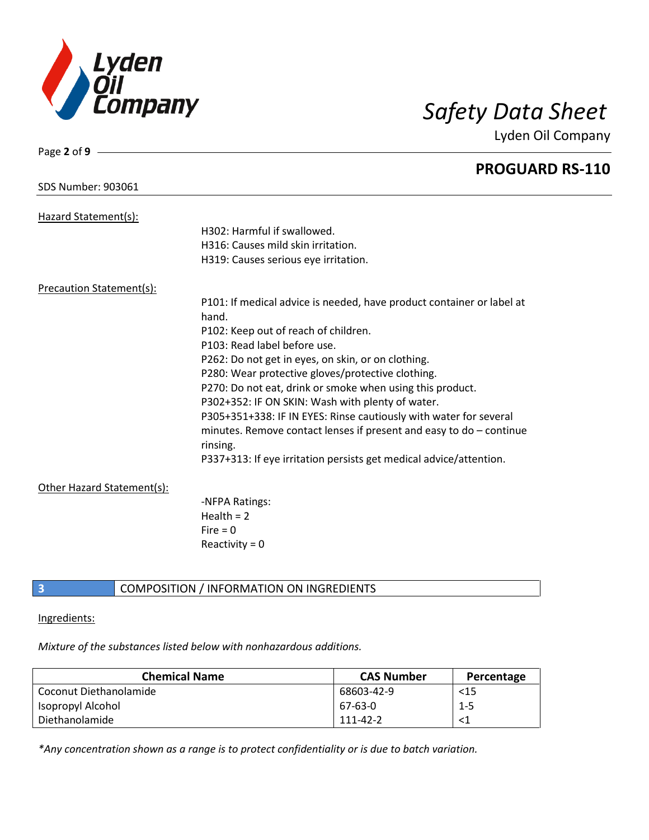

Page **2** of **9**

Lyden Oil Company

|                                 | <b>PROGUARD RS-110</b>                                                |
|---------------------------------|-----------------------------------------------------------------------|
| SDS Number: 903061              |                                                                       |
| Hazard Statement(s):            |                                                                       |
|                                 | H302: Harmful if swallowed.                                           |
|                                 | H316: Causes mild skin irritation.                                    |
|                                 | H319: Causes serious eye irritation.                                  |
| <b>Precaution Statement(s):</b> |                                                                       |
|                                 | P101: If medical advice is needed, have product container or label at |
|                                 | hand.                                                                 |
|                                 | P102: Keep out of reach of children.                                  |
|                                 | P103: Read label before use.                                          |
|                                 | P262: Do not get in eyes, on skin, or on clothing.                    |
|                                 | P280: Wear protective gloves/protective clothing.                     |
|                                 | P270: Do not eat, drink or smoke when using this product.             |
|                                 | P302+352: IF ON SKIN: Wash with plenty of water.                      |
|                                 | P305+351+338: IF IN EYES: Rinse cautiously with water for several     |
|                                 | minutes. Remove contact lenses if present and easy to do - continue   |
|                                 | rinsing.                                                              |
|                                 | P337+313: If eye irritation persists get medical advice/attention.    |
| Other Hazard Statement(s):      |                                                                       |
|                                 | -NFPA Ratings:                                                        |
|                                 | Health = $2$                                                          |
|                                 | Fire $= 0$                                                            |
|                                 | Reactivity = $0$                                                      |
|                                 |                                                                       |

**3 COMPOSITION** / INFORMATION ON INGREDIENTS

### Ingredients:

*Mixture of the substances listed below with nonhazardous additions.*

| <b>Chemical Name</b>   | <b>CAS Number</b> | Percentage |
|------------------------|-------------------|------------|
| Coconut Diethanolamide | 68603-42-9        | $15$       |
| Isopropyl Alcohol      | 67-63-0           | $1 - 5$    |
| Diethanolamide         | 111-42-2          |            |

*\*Any concentration shown as a range is to protect confidentiality or is due to batch variation.*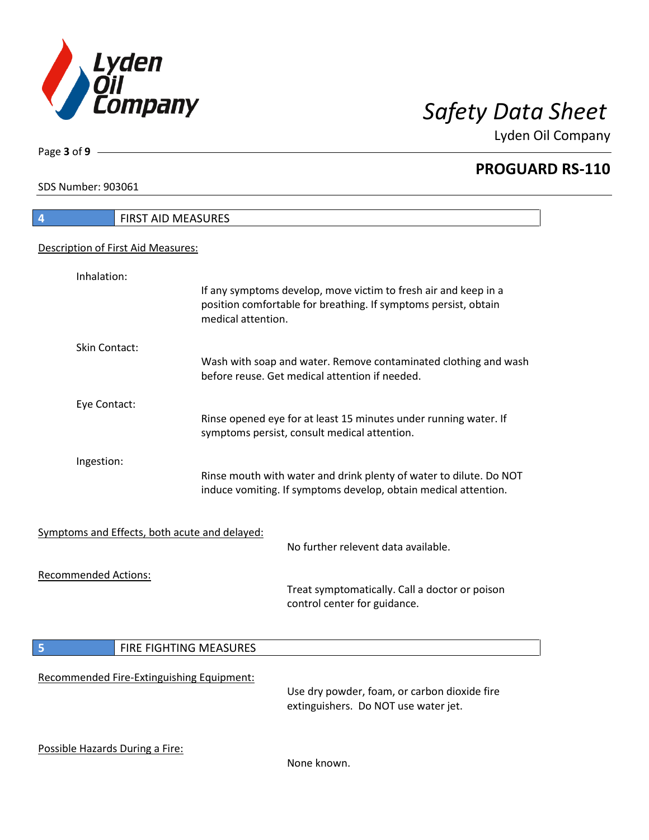

**PROGUARD RS-110**

SDS Number: 903061

Page **3** of **9**

| FIRST AID MEASURES<br>$\overline{4}$          |                    |                                                                                                                                       |
|-----------------------------------------------|--------------------|---------------------------------------------------------------------------------------------------------------------------------------|
| Description of First Aid Measures:            |                    |                                                                                                                                       |
|                                               |                    |                                                                                                                                       |
| Inhalation:                                   | medical attention. | If any symptoms develop, move victim to fresh air and keep in a<br>position comfortable for breathing. If symptoms persist, obtain    |
| Skin Contact:                                 |                    |                                                                                                                                       |
|                                               |                    | Wash with soap and water. Remove contaminated clothing and wash<br>before reuse. Get medical attention if needed.                     |
| Eye Contact:                                  |                    |                                                                                                                                       |
|                                               |                    | Rinse opened eye for at least 15 minutes under running water. If<br>symptoms persist, consult medical attention.                      |
| Ingestion:                                    |                    | Rinse mouth with water and drink plenty of water to dilute. Do NOT<br>induce vomiting. If symptoms develop, obtain medical attention. |
| Symptoms and Effects, both acute and delayed: |                    | No further relevent data available.                                                                                                   |
| <b>Recommended Actions:</b>                   |                    | Treat symptomatically. Call a doctor or poison<br>control center for guidance.                                                        |
| <b>FIRE FIGHTING MEASURES</b><br>5            |                    |                                                                                                                                       |
| Recommended Fire-Extinguishing Equipment:     |                    | Use dry powder, foam, or carbon dioxide fire<br>extinguishers. Do NOT use water jet.                                                  |
| Possible Hazards During a Fire:               |                    | None known.                                                                                                                           |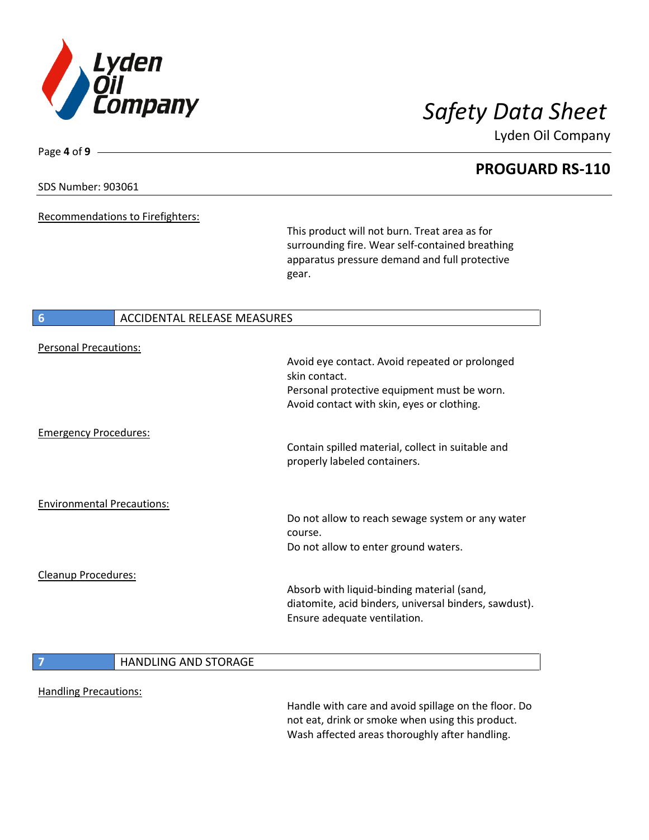

**PROGUARD RS-110**

### SDS Number: 903061

Page **4** of **9**

Recommendations to Firefighters:

This product will not burn. Treat area as for surrounding fire. Wear self-contained breathing apparatus pressure demand and full protective gear.

### **6** ACCIDENTAL RELEASE MEASURES

| <b>Personal Precautions:</b>      |                             | Avoid eye contact. Avoid repeated or prolonged<br>skin contact.<br>Personal protective equipment must be worn.<br>Avoid contact with skin, eyes or clothing. |
|-----------------------------------|-----------------------------|--------------------------------------------------------------------------------------------------------------------------------------------------------------|
| <b>Emergency Procedures:</b>      |                             | Contain spilled material, collect in suitable and<br>properly labeled containers.                                                                            |
| <b>Environmental Precautions:</b> |                             | Do not allow to reach sewage system or any water<br>course.<br>Do not allow to enter ground waters.                                                          |
| Cleanup Procedures:               |                             | Absorb with liquid-binding material (sand,<br>diatomite, acid binders, universal binders, sawdust).<br>Ensure adequate ventilation.                          |
|                                   | <b>HANDLING AND STORAGE</b> |                                                                                                                                                              |

Handling Precautions:

Handle with care and avoid spillage on the floor. Do not eat, drink or smoke when using this product. Wash affected areas thoroughly after handling.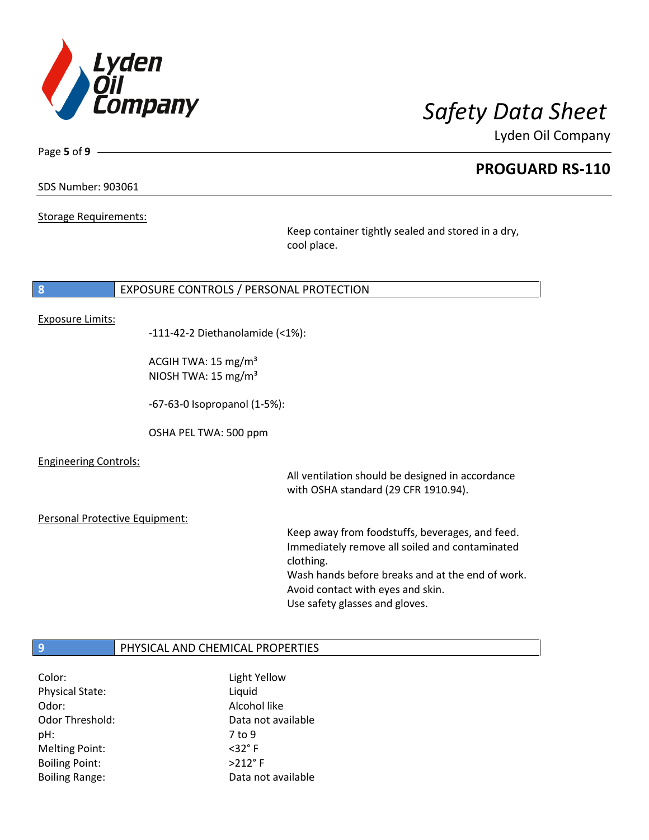

**PROGUARD RS-110**

SDS Number: 903061

Page **5** of **9**

Storage Requirements:

Keep container tightly sealed and stored in a dry, cool place.

### **8** EXPOSURE CONTROLS / PERSONAL PROTECTION

Exposure Limits:

-111-42-2 Diethanolamide (<1%):

ACGIH TWA: 15 mg/m³ NIOSH TWA: 15 mg/m³

-67-63-0 Isopropanol (1-5%):

OSHA PEL TWA: 500 ppm

Engineering Controls:

All ventilation should be designed in accordance with OSHA standard (29 CFR 1910.94).

Personal Protective Equipment:

Keep away from foodstuffs, beverages, and feed. Immediately remove all soiled and contaminated clothing. Wash hands before breaks and at the end of work. Avoid contact with eyes and skin. Use safety glasses and gloves.

### **9** PHYSICAL AND CHEMICAL PROPERTIES

| Color:                 | Light Yellow        |
|------------------------|---------------------|
| <b>Physical State:</b> | Liquid              |
| Odor:                  | Alcohol like        |
| Odor Threshold:        | Data not available  |
| pH:                    | 7 to 9              |
| <b>Melting Point:</b>  | $<$ 32 $^{\circ}$ F |
| <b>Boiling Point:</b>  | $>212$ °F           |
| <b>Boiling Range:</b>  | Data not available  |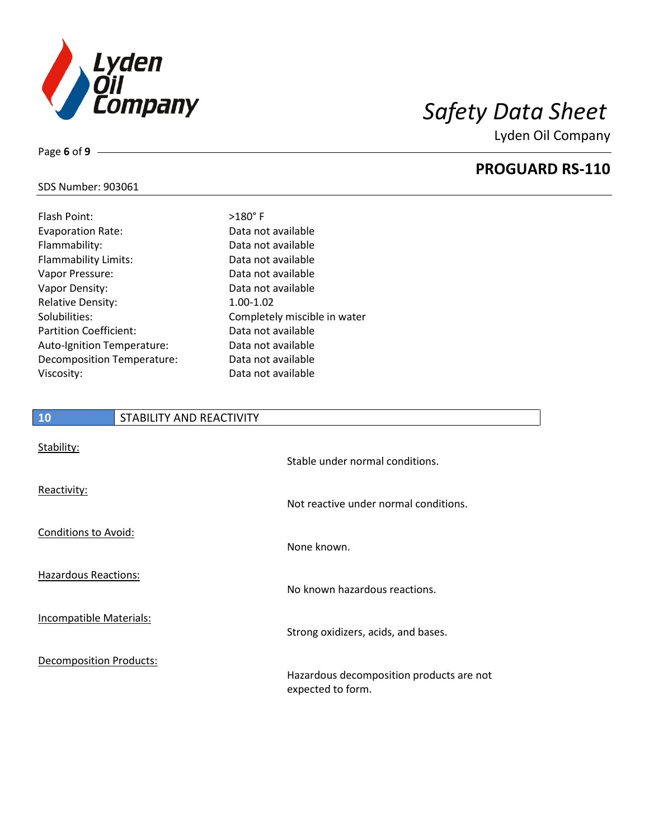

**PROGUARD RS-110**

### SDS Number: 903061

Page **6** of **9**

| Flash Point:                      | $>180^\circ$ F               |
|-----------------------------------|------------------------------|
| <b>Evaporation Rate:</b>          | Data not available           |
| Flammability:                     | Data not available           |
| <b>Flammability Limits:</b>       | Data not available           |
| Vapor Pressure:                   | Data not available           |
| Vapor Density:                    | Data not available           |
| <b>Relative Density:</b>          | 1.00-1.02                    |
| Solubilities:                     | Completely miscible in water |
| <b>Partition Coefficient:</b>     | Data not available           |
| Auto-Ignition Temperature:        | Data not available           |
| <b>Decomposition Temperature:</b> | Data not available           |
| Viscosity:                        | Data not available           |

| Data not available           |
|------------------------------|
| Data not available           |
| Data not available           |
| Data not available           |
| Data not available           |
| $1.00 - 1.02$                |
| Completely miscible in water |
| Data not available           |
| Data not available           |
| Data not available           |
| Data not available           |
|                              |

# **10** STABILITY AND REACTIVITY Stability: Stable under normal conditions. Reactivity: Not reactive under normal conditions. Conditions to Avoid: None known. Hazardous Reactions: No known hazardous reactions. Incompatible Materials: Strong oxidizers, acids, and bases. Decomposition Products: Hazardous decomposition products are not expected to form.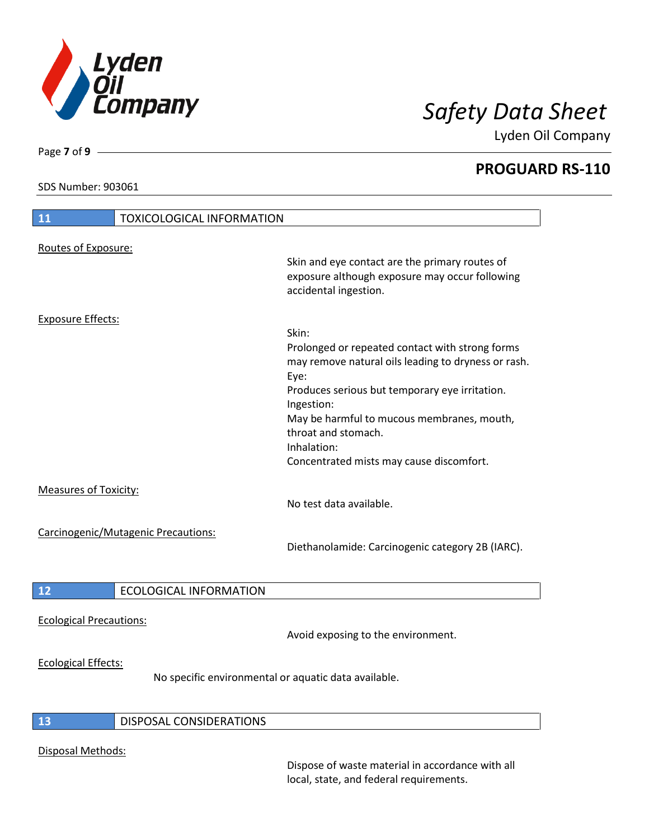

**PROGUARD RS-110**

SDS Number: 903061

Page **7** of **9**

| <b>TOXICOLOGICAL INFORMATION</b><br>11                                             |                                                                                                                                                                                                                                                                                                                         |
|------------------------------------------------------------------------------------|-------------------------------------------------------------------------------------------------------------------------------------------------------------------------------------------------------------------------------------------------------------------------------------------------------------------------|
| Routes of Exposure:                                                                | Skin and eye contact are the primary routes of<br>exposure although exposure may occur following<br>accidental ingestion.                                                                                                                                                                                               |
| <b>Exposure Effects:</b>                                                           | Skin:<br>Prolonged or repeated contact with strong forms<br>may remove natural oils leading to dryness or rash.<br>Eye:<br>Produces serious but temporary eye irritation.<br>Ingestion:<br>May be harmful to mucous membranes, mouth,<br>throat and stomach.<br>Inhalation:<br>Concentrated mists may cause discomfort. |
| <b>Measures of Toxicity:</b>                                                       | No test data available.                                                                                                                                                                                                                                                                                                 |
| Carcinogenic/Mutagenic Precautions:                                                | Diethanolamide: Carcinogenic category 2B (IARC).                                                                                                                                                                                                                                                                        |
| <b>ECOLOGICAL INFORMATION</b><br>12                                                |                                                                                                                                                                                                                                                                                                                         |
| <b>Ecological Precautions:</b>                                                     | Avoid exposing to the environment.                                                                                                                                                                                                                                                                                      |
| <b>Ecological Effects:</b><br>No specific environmental or aquatic data available. |                                                                                                                                                                                                                                                                                                                         |
| DISPOSAL CONSIDERATIONS<br>13                                                      |                                                                                                                                                                                                                                                                                                                         |
| Disposal Methods:                                                                  | Dispose of waste material in accordance with all                                                                                                                                                                                                                                                                        |

local, state, and federal requirements.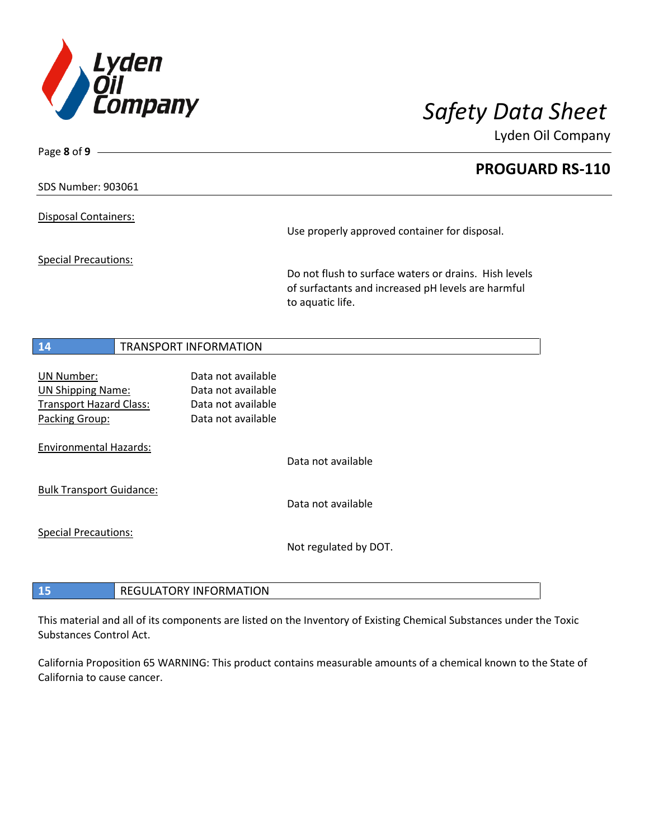

Page **8** of **9**

Lyden Oil Company

**PROGUARD RS-110**

### SDS Number: 903061

Disposal Containers:

Special Precautions:

Use properly approved container for disposal.

Do not flush to surface waters or drains. Hish levels of surfactants and increased pH levels are harmful to aquatic life.

### **14** TRANSPORT INFORMATION

UN Number: Data not available UN Shipping Name: Data not available Transport Hazard Class: Data not available Packing Group: Data not available Environmental Hazards: Data not available Bulk Transport Guidance: Data not available Special Precautions:

Not regulated by DOT.

**15** REGULATORY INFORMATION

This material and all of its components are listed on the Inventory of Existing Chemical Substances under the Toxic Substances Control Act.

California Proposition 65 WARNING: This product contains measurable amounts of a chemical known to the State of California to cause cancer.